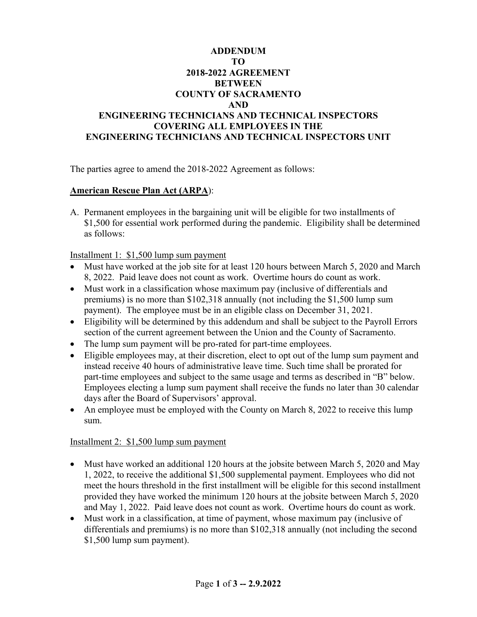## **ADDENDUM TO 2018-2022 AGREEMENT BETWEEN COUNTY OF SACRAMENTO AND ENGINEERING TECHNICIANS AND TECHNICAL INSPECTORS COVERING ALL EMPLOYEES IN THE ENGINEERING TECHNICIANS AND TECHNICAL INSPECTORS UNIT**

The parties agree to amend the 2018-2022 Agreement as follows:

## **American Rescue Plan Act (ARPA**):

A. Permanent employees in the bargaining unit will be eligible for two installments of \$1,500 for essential work performed during the pandemic. Eligibility shall be determined as follows:

Installment 1: \$1,500 lump sum payment

- Must have worked at the job site for at least 120 hours between March 5, 2020 and March 8, 2022. Paid leave does not count as work. Overtime hours do count as work.
- Must work in a classification whose maximum pay (inclusive of differentials and premiums) is no more than \$102,318 annually (not including the \$1,500 lump sum payment). The employee must be in an eligible class on December 31, 2021.
- Eligibility will be determined by this addendum and shall be subject to the Payroll Errors section of the current agreement between the Union and the County of Sacramento.
- The lump sum payment will be pro-rated for part-time employees.
- Eligible employees may, at their discretion, elect to opt out of the lump sum payment and instead receive 40 hours of administrative leave time. Such time shall be prorated for part-time employees and subject to the same usage and terms as described in "B" below. Employees electing a lump sum payment shall receive the funds no later than 30 calendar days after the Board of Supervisors' approval.
- An employee must be employed with the County on March 8, 2022 to receive this lump sum.

## Installment 2: \$1,500 lump sum payment

- Must have worked an additional 120 hours at the jobsite between March 5, 2020 and May 1, 2022, to receive the additional \$1,500 supplemental payment. Employees who did not meet the hours threshold in the first installment will be eligible for this second installment provided they have worked the minimum 120 hours at the jobsite between March 5, 2020 and May 1, 2022. Paid leave does not count as work. Overtime hours do count as work.
- Must work in a classification, at time of payment, whose maximum pay (inclusive of differentials and premiums) is no more than \$102,318 annually (not including the second \$1,500 lump sum payment).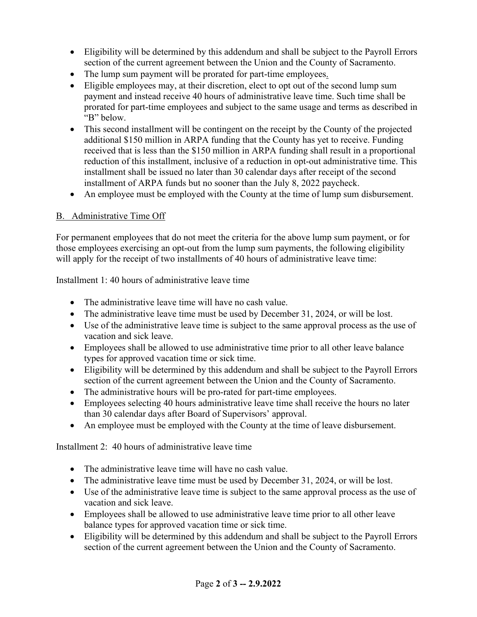- Eligibility will be determined by this addendum and shall be subject to the Payroll Errors section of the current agreement between the Union and the County of Sacramento.
- The lump sum payment will be prorated for part-time employees.
- Eligible employees may, at their discretion, elect to opt out of the second lump sum payment and instead receive 40 hours of administrative leave time. Such time shall be prorated for part-time employees and subject to the same usage and terms as described in "B" below.
- This second installment will be contingent on the receipt by the County of the projected additional \$150 million in ARPA funding that the County has yet to receive. Funding received that is less than the \$150 million in ARPA funding shall result in a proportional reduction of this installment, inclusive of a reduction in opt-out administrative time. This installment shall be issued no later than 30 calendar days after receipt of the second installment of ARPA funds but no sooner than the July 8, 2022 paycheck.
- An employee must be employed with the County at the time of lump sum disbursement.

## B. Administrative Time Off

For permanent employees that do not meet the criteria for the above lump sum payment, or for those employees exercising an opt-out from the lump sum payments, the following eligibility will apply for the receipt of two installments of 40 hours of administrative leave time:

Installment 1: 40 hours of administrative leave time

- The administrative leave time will have no cash value.
- The administrative leave time must be used by December 31, 2024, or will be lost.
- Use of the administrative leave time is subject to the same approval process as the use of vacation and sick leave.
- Employees shall be allowed to use administrative time prior to all other leave balance types for approved vacation time or sick time.
- Eligibility will be determined by this addendum and shall be subject to the Payroll Errors section of the current agreement between the Union and the County of Sacramento.
- The administrative hours will be pro-rated for part-time employees.
- Employees selecting 40 hours administrative leave time shall receive the hours no later than 30 calendar days after Board of Supervisors' approval.
- An employee must be employed with the County at the time of leave disbursement.

Installment 2: 40 hours of administrative leave time

- The administrative leave time will have no cash value.
- The administrative leave time must be used by December 31, 2024, or will be lost.
- Use of the administrative leave time is subject to the same approval process as the use of vacation and sick leave.
- Employees shall be allowed to use administrative leave time prior to all other leave balance types for approved vacation time or sick time.
- Eligibility will be determined by this addendum and shall be subject to the Payroll Errors section of the current agreement between the Union and the County of Sacramento.